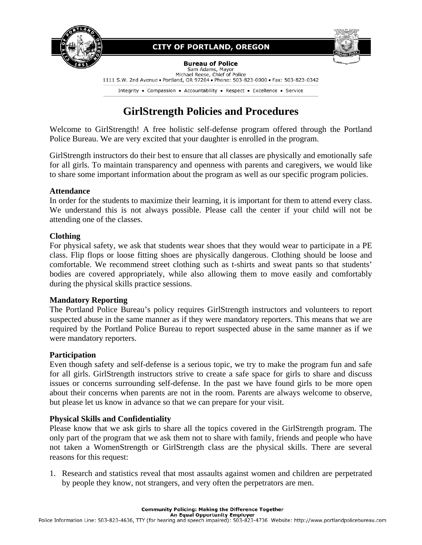

## **CITY OF PORTLAND, OREGON**

**Bureau of Police** Sam Adams, Mayor

Michael Reese, Chief of Police 1111 S.W. 2nd Avenue . Portland, OR 97204 . Phone: 503-823-0000 . Fax: 503-823-0342

Integrity • Compassion • Accountability • Respect • Excellence • Service

# **GirlStrength Policies and Procedures**

Welcome to GirlStrength! A free holistic self-defense program offered through the Portland Police Bureau. We are very excited that your daughter is enrolled in the program.

GirlStrength instructors do their best to ensure that all classes are physically and emotionally safe for all girls. To maintain transparency and openness with parents and caregivers, we would like to share some important information about the program as well as our specific program policies.

#### **Attendance**

In order for the students to maximize their learning, it is important for them to attend every class. We understand this is not always possible. Please call the center if your child will not be attending one of the classes.

### **Clothing**

For physical safety, we ask that students wear shoes that they would wear to participate in a PE class. Flip flops or loose fitting shoes are physically dangerous. Clothing should be loose and comfortable. We recommend street clothing such as t-shirts and sweat pants so that students' bodies are covered appropriately, while also allowing them to move easily and comfortably during the physical skills practice sessions.

### **Mandatory Reporting**

The Portland Police Bureau's policy requires GirlStrength instructors and volunteers to report suspected abuse in the same manner as if they were mandatory reporters. This means that we are required by the Portland Police Bureau to report suspected abuse in the same manner as if we were mandatory reporters.

#### **Participation**

Even though safety and self-defense is a serious topic, we try to make the program fun and safe for all girls. GirlStrength instructors strive to create a safe space for girls to share and discuss issues or concerns surrounding self-defense. In the past we have found girls to be more open about their concerns when parents are not in the room. Parents are always welcome to observe, but please let us know in advance so that we can prepare for your visit.

### **Physical Skills and Confidentiality**

Please know that we ask girls to share all the topics covered in the GirlStrength program. The only part of the program that we ask them not to share with family, friends and people who have not taken a WomenStrength or GirlStrength class are the physical skills. There are several reasons for this request:

1. Research and statistics reveal that most assaults against women and children are perpetrated by people they know, not strangers, and very often the perpetrators are men.